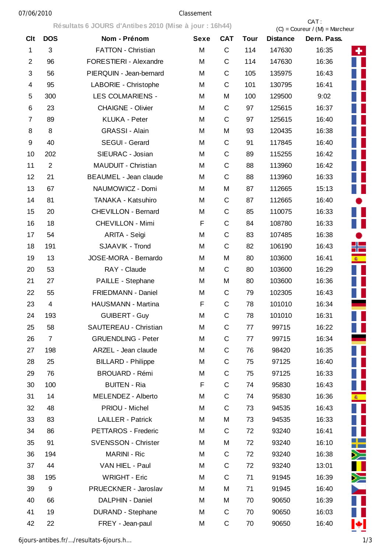## 07/06/2010 Classement

|                |                | Résultats 6 JOURS d'Antibes 2010 (Mise à jour : 16h44) |             |             | CAT:<br>$(C) =$ Coureur / $(M) =$ Marcheur |                 |                                   |  |
|----------------|----------------|--------------------------------------------------------|-------------|-------------|--------------------------------------------|-----------------|-----------------------------------|--|
| <b>Clt</b>     | <b>DOS</b>     | Nom - Prénom                                           | <b>Sexe</b> | <b>CAT</b>  | <b>Tour</b>                                | <b>Distance</b> | Dern. Pass.                       |  |
| 1              | 3              | <b>FATTON - Christian</b>                              | M           | C           | 114                                        | 147630          | 16:35<br>÷                        |  |
| $\overline{2}$ | 96             | FORESTIERI - Alexandre                                 | M           | C           | 114                                        | 147630          | 16:36                             |  |
| 3              | 56             | PIERQUIN - Jean-bernard                                | M           | С           | 105                                        | 135975          | 16:43                             |  |
| 4              | 95             | LABORIE - Christophe                                   | M           | C           | 101                                        | 130795          | 16:41                             |  |
| 5              | 300            | <b>LES COLMARIENS -</b>                                | M           | M           | 100                                        | 129500          | 9:02<br>H                         |  |
| 6              | 23             | <b>CHAIGNE - Olivier</b>                               | M           | С           | 97                                         | 125615          | 16:37                             |  |
| 7              | 89             | <b>KLUKA - Peter</b>                                   | M           | C           | 97                                         | 125615          | W<br>16:40                        |  |
| 8              | 8              | <b>GRASSI - Alain</b>                                  | M           | M           | 93                                         | 120435          | H<br>16:38                        |  |
| 9              | 40             | SEGUI - Gerard                                         | M           | C           | 91                                         | 117845          | H<br>16:40                        |  |
| 10             | 202            | SIEURAC - Josian                                       | M           | С           | 89                                         | 115255          | П<br>16:42                        |  |
| 11             | $\overline{2}$ | MAUDUIT - Christian                                    | M           | C           | 88                                         | 113960          | H<br>16:42                        |  |
| 12             | 21             | <b>BEAUMEL - Jean claude</b>                           | M           | C           | 88                                         | 113960          | H<br>16:33                        |  |
| 13             | 67             | NAUMOWICZ - Domi                                       | M           | M           | 87                                         | 112665          | H<br>15:13                        |  |
| 14             | 81             | TANAKA - Katsuhiro                                     | M           | C           | 87                                         | 112665          | 16:40<br>$\bullet$                |  |
| 15             | 20             | <b>CHEVILLON - Bernard</b>                             | M           | C           | 85                                         | 110075          | 16:33<br>H                        |  |
| 16             | 18             | <b>CHEVILLON - Mimi</b>                                | F           | C           | 84                                         | 108780          | Ш<br>16:33                        |  |
| 17             | 54             | ARITA - Seìgi                                          | M           | C           | 83                                         | 107485          | 16:38                             |  |
| 18             | 191            | SJAAVIK - Trond                                        | M           | C           | 82                                         | 106190          | ╬═<br>16:43                       |  |
| 19             | 13             | JOSE-MORA - Bernardo                                   | M           | M           | 80                                         | 103600          | 16:41<br><b>密</b>                 |  |
| 20             | 53             | RAY - Claude                                           | M           | C           | 80                                         | 103600          | Ш<br>16:29                        |  |
| 21             | 27             | PAILLE - Stephane                                      | M           | M           | 80                                         | 103600          | H<br>16:36                        |  |
| 22             | 55             | FRIEDMANN - Daniel                                     | M           | C           | 79                                         | 102305          | Ш<br>16:43                        |  |
| 23             | 4              | HAUSMANN - Martina                                     | F           | C           | 78                                         | 101010          | 16:34                             |  |
| 24             | 193            | <b>GUIBERT - Guy</b>                                   | M           | C           | 78                                         | 101010          | . .<br>16:31                      |  |
| 25             | 58             | SAUTEREAU - Christian                                  | M           | C           | 77                                         | 99715           | ▊▊<br>16:22                       |  |
| 26             | $\overline{7}$ | <b>GRUENDLING - Peter</b>                              | M           | $\mathsf C$ | 77                                         | 99715           | e.<br>16:34                       |  |
| 27             | 198            | ARZEL - Jean claude                                    | M           | C           | 76                                         | 98420           | 16:35                             |  |
| 28             | 25             | <b>BILLARD - Philippe</b>                              | M           | $\mathsf C$ | 75                                         | 97125           | $\mathbb{R}^n$<br>16:40           |  |
| 29             | 76             | <b>BROUARD - Rémi</b>                                  | M           | C           | 75                                         | 97125           | $\blacksquare$<br>16:33           |  |
| 30             | 100            | <b>BUITEN - Ria</b>                                    | F           | C           | 74                                         | 95830           | Ш<br>16:43                        |  |
| 31             | 14             | MELENDEZ - Alberto                                     | M           | C           | 74                                         | 95830           | <b>参</b><br>16:36                 |  |
| 32             | 48             | PRIOU - Michel                                         | M           | C           | 73                                         | 94535           | $\mathbb{R}^n$<br>16:43           |  |
| 33             | 83             | LAILLER - Patrick                                      | M           | M           | 73                                         | 94535           | ▌▐<br>16:33                       |  |
| 34             | 86             | PETTAROS - Frederic                                    | M           | C           | 72                                         | 93240           | I.<br>16:41                       |  |
| 35             | 91             | <b>SVENSSON - Christer</b>                             | M           | M           | 72                                         | 93240           | 16:10<br>m                        |  |
| 36             | 194            | <b>MARINI - Ric</b>                                    | M           | C           | 72                                         | 93240           | $\geq$<br>16:38                   |  |
| 37             | 44             | VAN HIEL - Paul                                        | M           | C           | 72                                         | 93240           | 13:01                             |  |
| 38             | 195            | <b>WRIGHT - Eric</b>                                   | M           | C           | 71                                         | 91945           | ╳═<br>16:39                       |  |
| 39             | 9              | PRUECKNER - Jaroslav                                   | M           | M           | 71                                         | 91945           | 16:40<br>$\overline{\phantom{a}}$ |  |
| 40             | 66             | DALPHIN - Daniel                                       | M           | M           | 70                                         | 90650           | 16:39                             |  |
| 41             | 19             | <b>DURAND - Stephane</b>                               | M           | $\mathsf C$ | 70                                         | 90650           | 16:03                             |  |
| 42             | 22             | FREY - Jean-paul                                       | M           | C           | 70                                         | 90650           | M<br>16:40                        |  |

6jours-antibes.fr/…/resultats-6jours.h… 1/3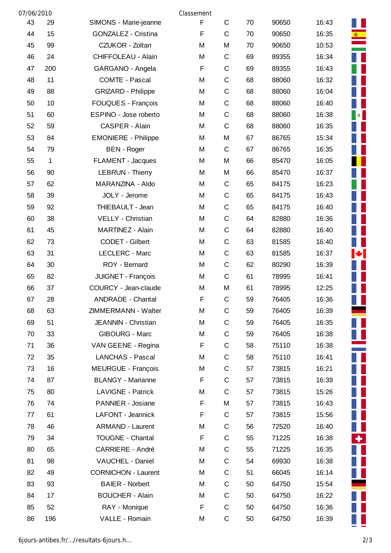| 07/06/2010 |     |                            | Classement |             |    |       |       |                          |
|------------|-----|----------------------------|------------|-------------|----|-------|-------|--------------------------|
| 43         | 29  | SIMONS - Marie-jeanne      | F          | $\mathsf C$ | 70 | 90650 | 16:43 |                          |
| 44         | 15  | <b>GONZALEZ - Cristina</b> | F          | $\mathsf C$ | 70 | 90650 | 16:35 |                          |
| 45         | 99  | CZUKOR - Zoltan            | M          | M           | 70 | 90650 | 10:53 |                          |
| 46         | 24  | CHIFFOLEAU - Alain         | M          | $\mathsf C$ | 69 | 89355 | 16:34 |                          |
| 47         | 200 | GARGANO - Angela           | F          | $\mathsf C$ | 69 | 89355 | 16:43 |                          |
| 48         | 11  | <b>COMTE - Pascal</b>      | M          | $\mathsf C$ | 68 | 88060 | 16:32 |                          |
| 49         | 88  | <b>GRIZARD - Philippe</b>  | M          | $\mathsf C$ | 68 | 88060 | 16:04 |                          |
| 50         | 10  | FOUQUES - François         | M          | $\mathsf C$ | 68 | 88060 | 16:40 |                          |
| 51         | 60  | ESPINO - Jose roberto      | M          | $\mathsf C$ | 68 | 88060 | 16:38 | $\bullet$                |
| 52         | 59  | CASPER - Alain             | M          | $\mathsf C$ | 68 | 88060 | 16:35 |                          |
| 53         | 84  | <b>EMONIERE - Philippe</b> | M          | M           | 67 | 86765 | 15:34 |                          |
| 54         | 79  | <b>BEN</b> - Roger         | M          | $\mathsf C$ | 67 | 86765 | 16:35 |                          |
| 55         | 1   | <b>FLAMENT - Jacques</b>   | M          | M           | 66 | 85470 | 16:05 |                          |
| 56         | 90  | <b>LEBRUN - Thierry</b>    | M          | M           | 66 | 85470 | 16:37 |                          |
| 57         | 62  | MARANZINA - Aldo           | M          | $\mathsf C$ | 65 | 84175 | 16:23 |                          |
| 58         | 39  | JOLY - Jerome              | M          | $\mathsf C$ | 65 | 84175 | 16:43 |                          |
| 59         | 92  | THIEBAULT - Jean           | M          | $\mathsf C$ | 65 | 84175 | 16:40 |                          |
| 60         | 38  | VELLY - Christian          | M          | $\mathsf C$ | 64 | 82880 | 16:36 |                          |
| 61         | 45  | MARTINEZ - Alain           | M          | $\mathsf C$ | 64 | 82880 | 16:40 |                          |
| 62         | 73  | CODET - Gilbert            | M          | $\mathsf C$ | 63 | 81585 | 16:40 |                          |
| 63         | 31  | LECLERC - Marc             | M          | $\mathsf C$ | 63 | 81585 | 16:37 | $\left  \bullet \right $ |
| 64         | 30  | ROY - Bernard              | M          | $\mathsf C$ | 62 | 80290 | 16:39 |                          |
| 65         | 82  | JUIGNET - François         | M          | $\mathsf C$ | 61 | 78995 | 16:41 |                          |
| 66         | 37  | COURCY - Jean-claude       | M          | M           | 61 | 78995 | 12:25 |                          |
| 67         | 28  | <b>ANDRADE - Chantal</b>   | F          | $\mathsf C$ | 59 | 76405 | 16:36 |                          |
| 68         | 63  | ZIMMERMANN - Walter        | M          | $\mathsf C$ | 59 | 76405 | 16:39 |                          |
| 69         | 51  | JEANNIN - Christian        | M          | $\mathsf C$ | 59 | 76405 | 16:35 |                          |
| 70         | 33  | <b>GIBOURG - Marc</b>      | М          | $\mathsf C$ | 59 | 76405 | 16:38 |                          |
| 71         | 36  | VAN GEENE - Regina         | F          | $\mathsf C$ | 58 | 75110 | 16:38 |                          |
| 72         | 35  | <b>LANCHAS - Pascal</b>    | М          | $\mathsf C$ | 58 | 75110 | 16:41 |                          |
| 73         | 16  | <b>MEURGUE - François</b>  | M          | $\mathsf C$ | 57 | 73815 | 16:21 |                          |
| 74         | 87  | <b>BLANGY - Marianne</b>   | F          | $\mathsf C$ | 57 | 73815 | 16:39 |                          |
| 75         | 80  | LAVIGNE - Patrick          | M          | $\mathsf C$ | 57 | 73815 | 15:26 |                          |
| 76         | 74  | PANNIER - Josiane          | F          | M           | 57 | 73815 | 16:43 |                          |
| 77         | 61  | LAFONT - Jeannick          | F          | $\mathsf C$ | 57 | 73815 | 15:56 |                          |
| 78         | 46  | <b>ARMAND - Laurent</b>    | M          | $\mathsf C$ | 56 | 72520 | 16:40 |                          |
| 79         | 34  | <b>TOUGNE - Chantal</b>    | F          | $\mathsf C$ | 55 | 71225 | 16:38 | ٠.                       |
| 80         | 65  | <b>CARRIERE - André</b>    | M          | $\mathsf C$ | 55 | 71225 | 16:35 |                          |
| 81         | 98  | VAUCHEL - Daniel           | М          | C           | 54 | 69930 | 16:38 |                          |
| 82         | 49  | <b>CORNICHON - Laurent</b> | M          | $\mathsf C$ | 51 | 66045 | 16:14 |                          |
| 83         | 93  | <b>BAIER - Norbert</b>     | М          | $\mathsf C$ | 50 | 64750 | 15:54 |                          |
| 84         | 17  | <b>BOUCHER - Alain</b>     | M          | $\mathsf C$ | 50 | 64750 | 16:22 |                          |
| 85         | 52  | RAY - Monique              | F          | $\mathsf C$ | 50 | 64750 | 16:36 |                          |
| 86         | 196 | VALLE - Romain             | М          | C           | 50 | 64750 | 16:39 |                          |